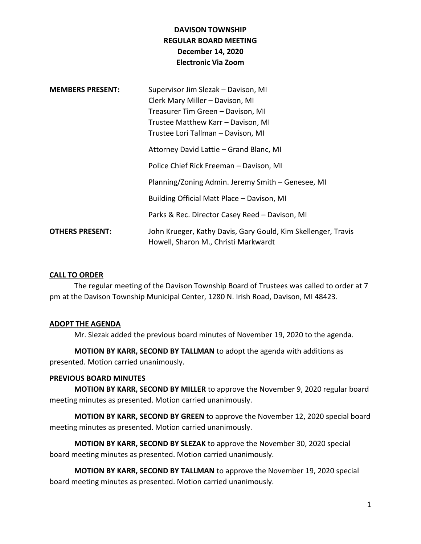# **DAVISON TOWNSHIP REGULAR BOARD MEETING December 14, 2020 Electronic Via Zoom**

| <b>MEMBERS PRESENT:</b> | Supervisor Jim Slezak - Davison, MI<br>Clerk Mary Miller - Davison, MI<br>Treasurer Tim Green - Davison, MI<br>Trustee Matthew Karr - Davison, MI<br>Trustee Lori Tallman - Davison, MI |
|-------------------------|-----------------------------------------------------------------------------------------------------------------------------------------------------------------------------------------|
|                         | Attorney David Lattie - Grand Blanc, MI                                                                                                                                                 |
|                         | Police Chief Rick Freeman - Davison, MI                                                                                                                                                 |
|                         | Planning/Zoning Admin. Jeremy Smith - Genesee, MI                                                                                                                                       |
|                         | Building Official Matt Place - Davison, MI                                                                                                                                              |
|                         | Parks & Rec. Director Casey Reed - Davison, MI                                                                                                                                          |
| <b>OTHERS PRESENT:</b>  | John Krueger, Kathy Davis, Gary Gould, Kim Skellenger, Travis<br>Howell, Sharon M., Christi Markwardt                                                                                   |

### **CALL TO ORDER**

The regular meeting of the Davison Township Board of Trustees was called to order at 7 pm at the Davison Township Municipal Center, 1280 N. Irish Road, Davison, MI 48423.

### **ADOPT THE AGENDA**

Mr. Slezak added the previous board minutes of November 19, 2020 to the agenda.

**MOTION BY KARR, SECOND BY TALLMAN** to adopt the agenda with additions as presented. Motion carried unanimously.

### **PREVIOUS BOARD MINUTES**

**MOTION BY KARR, SECOND BY MILLER** to approve the November 9, 2020 regular board meeting minutes as presented. Motion carried unanimously.

**MOTION BY KARR, SECOND BY GREEN** to approve the November 12, 2020 special board meeting minutes as presented. Motion carried unanimously.

**MOTION BY KARR, SECOND BY SLEZAK** to approve the November 30, 2020 special board meeting minutes as presented. Motion carried unanimously.

**MOTION BY KARR, SECOND BY TALLMAN** to approve the November 19, 2020 special board meeting minutes as presented. Motion carried unanimously.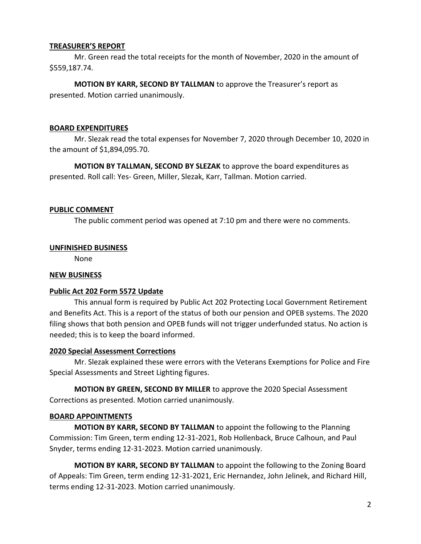### **TREASURER'S REPORT**

Mr. Green read the total receipts for the month of November, 2020 in the amount of \$559,187.74.

**MOTION BY KARR, SECOND BY TALLMAN** to approve the Treasurer's report as presented. Motion carried unanimously.

### **BOARD EXPENDITURES**

Mr. Slezak read the total expenses for November 7, 2020 through December 10, 2020 in the amount of \$1,894,095.70.

**MOTION BY TALLMAN, SECOND BY SLEZAK** to approve the board expenditures as presented. Roll call: Yes- Green, Miller, Slezak, Karr, Tallman. Motion carried.

### **PUBLIC COMMENT**

The public comment period was opened at 7:10 pm and there were no comments.

### **UNFINISHED BUSINESS**

None

## **NEW BUSINESS**

### **Public Act 202 Form 5572 Update**

This annual form is required by Public Act 202 Protecting Local Government Retirement and Benefits Act. This is a report of the status of both our pension and OPEB systems. The 2020 filing shows that both pension and OPEB funds will not trigger underfunded status. No action is needed; this is to keep the board informed.

### **2020 Special Assessment Corrections**

Mr. Slezak explained these were errors with the Veterans Exemptions for Police and Fire Special Assessments and Street Lighting figures.

**MOTION BY GREEN, SECOND BY MILLER** to approve the 2020 Special Assessment Corrections as presented. Motion carried unanimously.

### **BOARD APPOINTMENTS**

**MOTION BY KARR, SECOND BY TALLMAN** to appoint the following to the Planning Commission: Tim Green, term ending 12-31-2021, Rob Hollenback, Bruce Calhoun, and Paul Snyder, terms ending 12-31-2023. Motion carried unanimously.

**MOTION BY KARR, SECOND BY TALLMAN** to appoint the following to the Zoning Board of Appeals: Tim Green, term ending 12-31-2021, Eric Hernandez, John Jelinek, and Richard Hill, terms ending 12-31-2023. Motion carried unanimously.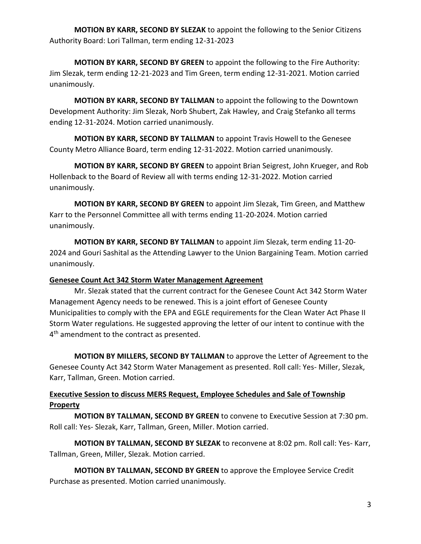**MOTION BY KARR, SECOND BY SLEZAK** to appoint the following to the Senior Citizens Authority Board: Lori Tallman, term ending 12-31-2023

**MOTION BY KARR, SECOND BY GREEN** to appoint the following to the Fire Authority: Jim Slezak, term ending 12-21-2023 and Tim Green, term ending 12-31-2021. Motion carried unanimously.

**MOTION BY KARR, SECOND BY TALLMAN** to appoint the following to the Downtown Development Authority: Jim Slezak, Norb Shubert, Zak Hawley, and Craig Stefanko all terms ending 12-31-2024. Motion carried unanimously.

**MOTION BY KARR, SECOND BY TALLMAN** to appoint Travis Howell to the Genesee County Metro Alliance Board, term ending 12-31-2022. Motion carried unanimously.

**MOTION BY KARR, SECOND BY GREEN** to appoint Brian Seigrest, John Krueger, and Rob Hollenback to the Board of Review all with terms ending 12-31-2022. Motion carried unanimously.

**MOTION BY KARR, SECOND BY GREEN** to appoint Jim Slezak, Tim Green, and Matthew Karr to the Personnel Committee all with terms ending 11-20-2024. Motion carried unanimously.

**MOTION BY KARR, SECOND BY TALLMAN** to appoint Jim Slezak, term ending 11-20- 2024 and Gouri Sashital as the Attending Lawyer to the Union Bargaining Team. Motion carried unanimously.

## **Genesee Count Act 342 Storm Water Management Agreement**

Mr. Slezak stated that the current contract for the Genesee Count Act 342 Storm Water Management Agency needs to be renewed. This is a joint effort of Genesee County Municipalities to comply with the EPA and EGLE requirements for the Clean Water Act Phase II Storm Water regulations. He suggested approving the letter of our intent to continue with the 4<sup>th</sup> amendment to the contract as presented.

**MOTION BY MILLERS, SECOND BY TALLMAN** to approve the Letter of Agreement to the Genesee County Act 342 Storm Water Management as presented. Roll call: Yes- Miller, Slezak, Karr, Tallman, Green. Motion carried.

# **Executive Session to discuss MERS Request, Employee Schedules and Sale of Township Property**

**MOTION BY TALLMAN, SECOND BY GREEN** to convene to Executive Session at 7:30 pm. Roll call: Yes- Slezak, Karr, Tallman, Green, Miller. Motion carried.

**MOTION BY TALLMAN, SECOND BY SLEZAK** to reconvene at 8:02 pm. Roll call: Yes- Karr, Tallman, Green, Miller, Slezak. Motion carried.

**MOTION BY TALLMAN, SECOND BY GREEN** to approve the Employee Service Credit Purchase as presented. Motion carried unanimously.